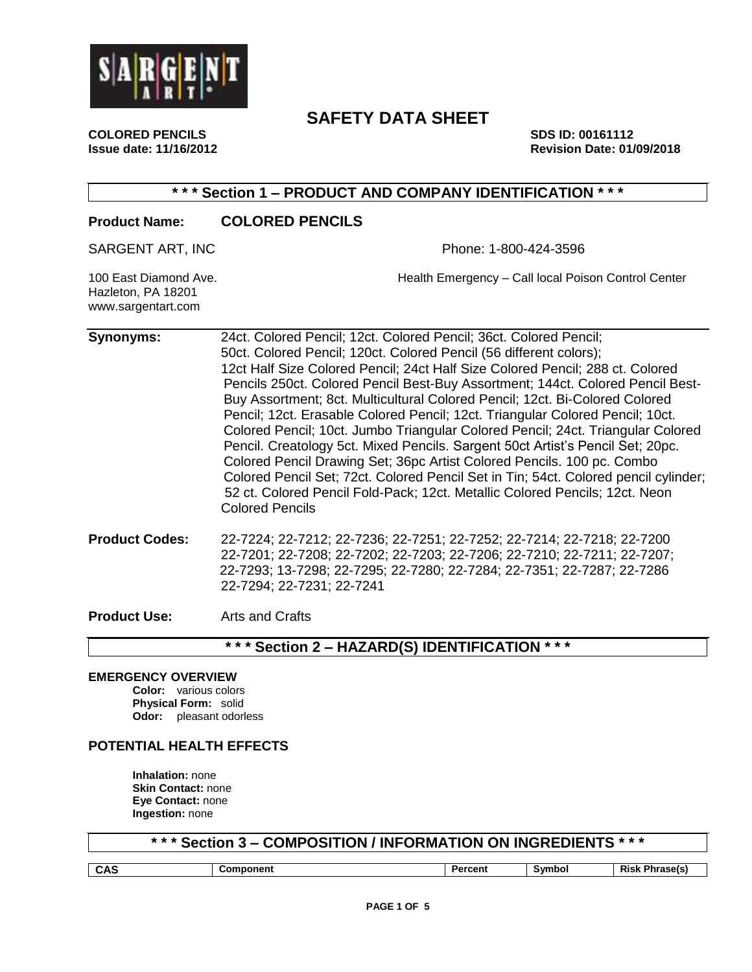

**Issue date: 11/16/2012 Revision Date: 01/09/2018**

# **COLORED PENCILS SDS ID: 00161112**

## **\* \* \* Section 1 – PRODUCT AND COMPANY IDENTIFICATION \* \* \***

## **Product Name: COLORED PENCILS**

SARGENT ART, INC **Phone: 1-800-424-3596** 

Hazleton, PA 18201 www.sargentart.com

100 East Diamond Ave. Health Emergency – Call local Poison Control Center

| <b>Synonyms:</b>      | 24ct. Colored Pencil; 12ct. Colored Pencil; 36ct. Colored Pencil;<br>50ct. Colored Pencil; 120ct. Colored Pencil (56 different colors);<br>12ct Half Size Colored Pencil; 24ct Half Size Colored Pencil; 288 ct. Colored<br>Pencils 250ct. Colored Pencil Best-Buy Assortment; 144ct. Colored Pencil Best-<br>Buy Assortment; 8ct. Multicultural Colored Pencil; 12ct. Bi-Colored Colored<br>Pencil; 12ct. Erasable Colored Pencil; 12ct. Triangular Colored Pencil; 10ct.<br>Colored Pencil; 10ct. Jumbo Triangular Colored Pencil; 24ct. Triangular Colored<br>Pencil. Creatology 5ct. Mixed Pencils. Sargent 50ct Artist's Pencil Set; 20pc.<br>Colored Pencil Drawing Set; 36pc Artist Colored Pencils. 100 pc. Combo<br>Colored Pencil Set; 72ct. Colored Pencil Set in Tin; 54ct. Colored pencil cylinder;<br>52 ct. Colored Pencil Fold-Pack; 12ct. Metallic Colored Pencils; 12ct. Neon<br><b>Colored Pencils</b> |
|-----------------------|---------------------------------------------------------------------------------------------------------------------------------------------------------------------------------------------------------------------------------------------------------------------------------------------------------------------------------------------------------------------------------------------------------------------------------------------------------------------------------------------------------------------------------------------------------------------------------------------------------------------------------------------------------------------------------------------------------------------------------------------------------------------------------------------------------------------------------------------------------------------------------------------------------------------------|
| <b>Product Codes:</b> | 22-7224; 22-7212; 22-7236; 22-7251; 22-7252; 22-7214; 22-7218; 22-7200<br>22-7201; 22-7208; 22-7202; 22-7203; 22-7206; 22-7210; 22-7211; 22-7207;<br>22-7293; 13-7298; 22-7295; 22-7280; 22-7284; 22-7351; 22-7287; 22-7286<br>22-7294; 22-7231; 22-7241                                                                                                                                                                                                                                                                                                                                                                                                                                                                                                                                                                                                                                                                  |

**Product Use:** Arts and Crafts

## **\* \* \* Section 2 – HAZARD(S) IDENTIFICATION \* \* \***

## **EMERGENCY OVERVIEW**

**Color:** various colors **Physical Form:** solid **Odor:** pleasant odorless

## **POTENTIAL HEALTH EFFECTS**

**Inhalation:** none **Skin Contact:** none **Eye Contact:** none **Ingestion:** none

**\* \* \* Section 3 – COMPOSITION / INFORMATION ON INGREDIENTS \* \* \***

| <b>CAS</b> | ---<br>ent | - - - - -<br>enτ | <b>Experience</b><br>w | <b>RISK</b><br>-maset. |
|------------|------------|------------------|------------------------|------------------------|
|            |            |                  |                        |                        |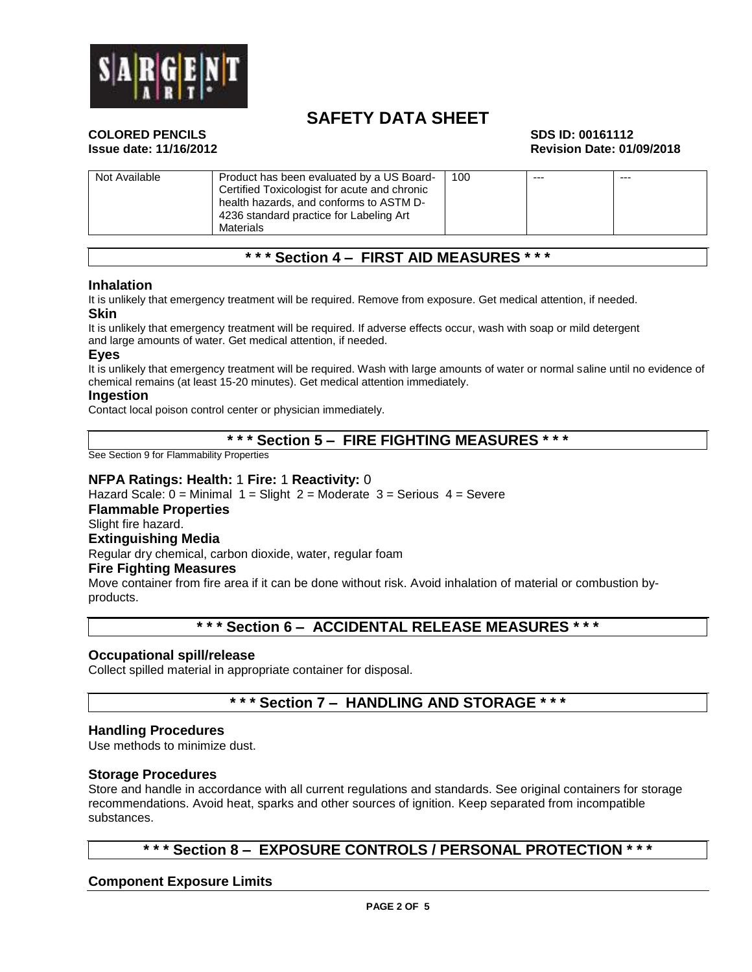

# **COLORED PENCILS SDS ID: 00161112**

# **Issue date: 11/16/2012 Revision Date: 01/09/2018**

| Not Available | Product has been evaluated by a US Board-    | 100 | $--$ | $--$ |
|---------------|----------------------------------------------|-----|------|------|
|               | Certified Toxicologist for acute and chronic |     |      |      |
|               | health hazards, and conforms to ASTM D-      |     |      |      |
|               | 4236 standard practice for Labeling Art      |     |      |      |
|               | Materials                                    |     |      |      |

## **\* \* \* Section 4 – FIRST AID MEASURES \* \* \***

#### **Inhalation**

It is unlikely that emergency treatment will be required. Remove from exposure. Get medical attention, if needed. **Skin**

It is unlikely that emergency treatment will be required. If adverse effects occur, wash with soap or mild detergent and large amounts of water. Get medical attention, if needed.

#### **Eyes**

It is unlikely that emergency treatment will be required. Wash with large amounts of water or normal saline until no evidence of chemical remains (at least 15-20 minutes). Get medical attention immediately.

#### **Ingestion**

Contact local poison control center or physician immediately.

## **\* \* \* Section 5 – FIRE FIGHTING MEASURES \* \* \***

See Section 9 for Flammability Properties

#### **NFPA Ratings: Health:** 1 **Fire:** 1 **Reactivity:** 0

Hazard Scale:  $0 =$  Minimal  $1 =$  Slight  $2 =$  Moderate  $3 =$  Serious  $4 =$  Severe

#### **Flammable Properties**

Slight fire hazard.

## **Extinguishing Media**

Regular dry chemical, carbon dioxide, water, regular foam

#### **Fire Fighting Measures**

Move container from fire area if it can be done without risk. Avoid inhalation of material or combustion byproducts.

## **\* \* \* Section 6 – ACCIDENTAL RELEASE MEASURES \* \* \***

#### **Occupational spill/release**

Collect spilled material in appropriate container for disposal.

## **\* \* \* Section 7 – HANDLING AND STORAGE \* \* \***

#### **Handling Procedures**

Use methods to minimize dust.

#### **Storage Procedures**

Store and handle in accordance with all current regulations and standards. See original containers for storage recommendations. Avoid heat, sparks and other sources of ignition. Keep separated from incompatible substances.

## **\* \* \* Section 8 – EXPOSURE CONTROLS / PERSONAL PROTECTION \* \* \***

## **Component Exposure Limits**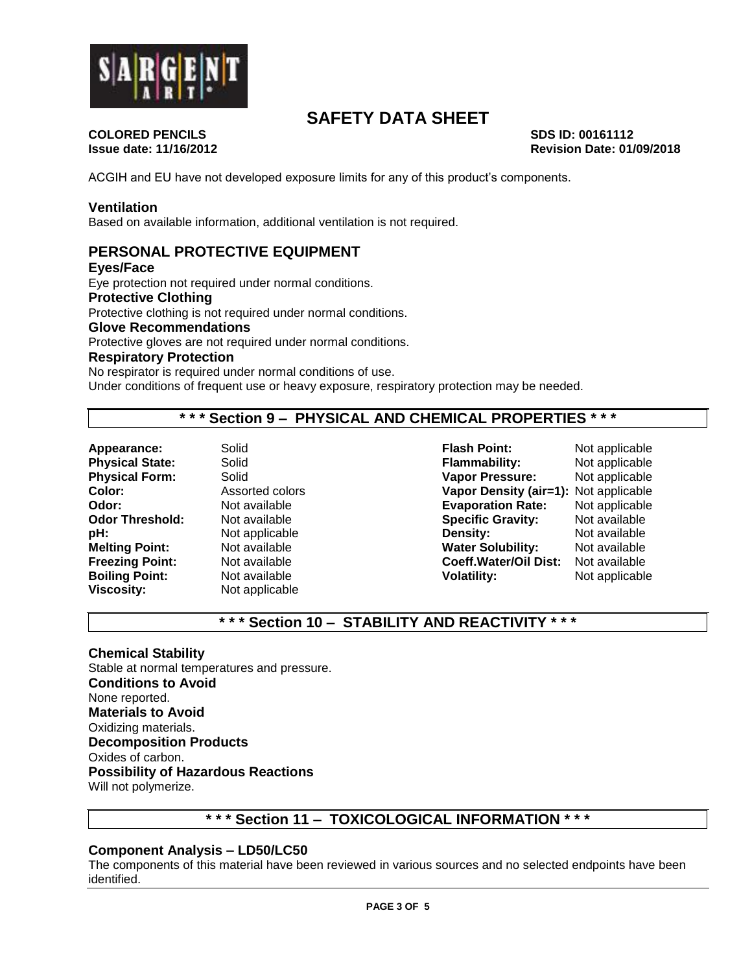

**COLORED PENCILS SDS ID: 00161112**

**Issue date: 11/16/2012 Revision Date: 01/09/2018**

ACGIH and EU have not developed exposure limits for any of this product's components.

#### **Ventilation**

Based on available information, additional ventilation is not required.

## **PERSONAL PROTECTIVE EQUIPMENT**

**Eyes/Face**

Eye protection not required under normal conditions.

**Protective Clothing**

Protective clothing is not required under normal conditions.

#### **Glove Recommendations**

Protective gloves are not required under normal conditions.

## **Respiratory Protection**

No respirator is required under normal conditions of use. Under conditions of frequent use or heavy exposure, respiratory protection may be needed.

## **\* \* \* Section 9 – PHYSICAL AND CHEMICAL PROPERTIES \* \* \***

**pH:** Not applicable<br> **Melting Point:** Not available **Viscosity:** Not applicable

**Appearance:** Solid **Flash Point:** Not applicable **Physical State:** Solid **Flammability:** Not applicable **Physical Form:** Solid **Vapor Pressure:** Not applicable **Color:** Assorted colors **Vapor Density (air=1):** Not applicable **Odor:** Not available **Evaporation Rate:** Not applicable **Specific Gravity:** Not available<br> **Density:** Not available **Water Solubility:** Not available **Freezing Point:** Not available **Coeff.Water/Oil Dist:** Not available **Boiling Point:** Not available **Volatility:** Not applicable **Not applicable** 

## **\* \* \* Section 10 – STABILITY AND REACTIVITY \* \* \***

## **Chemical Stability**

Stable at normal temperatures and pressure. **Conditions to Avoid** None reported. **Materials to Avoid** Oxidizing materials. **Decomposition Products** Oxides of carbon. **Possibility of Hazardous Reactions** Will not polymerize.

## **\* \* \* Section 11 – TOXICOLOGICAL INFORMATION \* \* \***

## **Component Analysis – LD50/LC50**

The components of this material have been reviewed in various sources and no selected endpoints have been identified.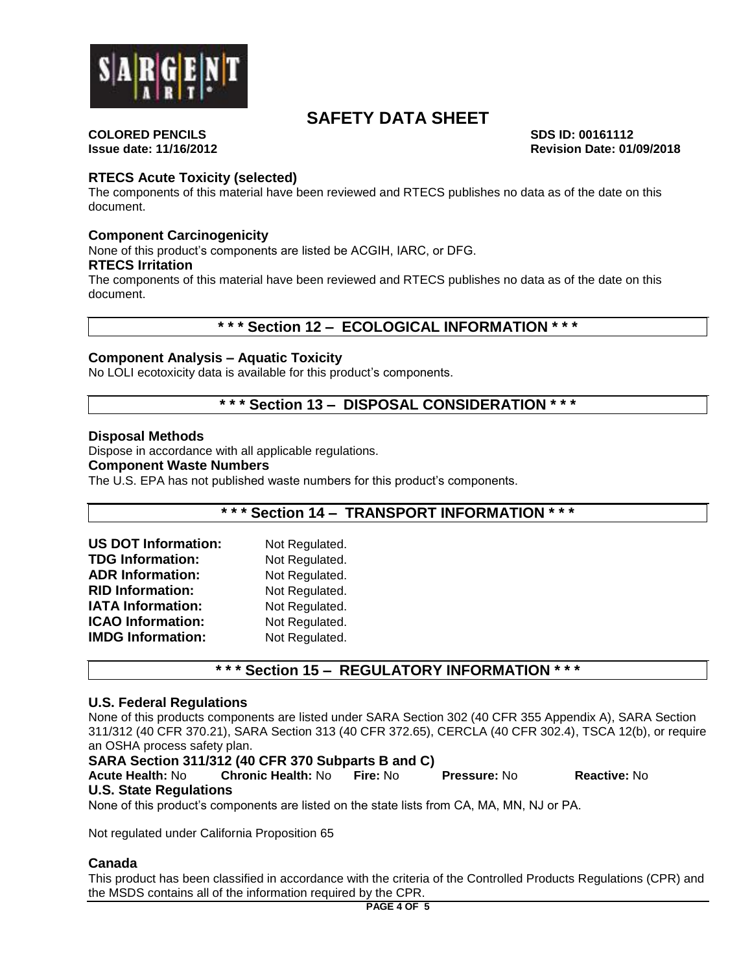

**Issue date: 11/16/2012 Revision Date: 01/09/2018**

# **COLORED PENCILS SDS ID: 00161112**

## **RTECS Acute Toxicity (selected)**

The components of this material have been reviewed and RTECS publishes no data as of the date on this document.

## **Component Carcinogenicity**

None of this product's components are listed be ACGIH, IARC, or DFG.

#### **RTECS Irritation**

The components of this material have been reviewed and RTECS publishes no data as of the date on this document.

## **\* \* \* Section 12 – ECOLOGICAL INFORMATION \* \* \***

## **Component Analysis – Aquatic Toxicity**

No LOLI ecotoxicity data is available for this product's components.

## **\* \* \* Section 13 – DISPOSAL CONSIDERATION \* \* \***

#### **Disposal Methods**

Dispose in accordance with all applicable regulations.

#### **Component Waste Numbers**

The U.S. EPA has not published waste numbers for this product's components.

## **\* \* \* Section 14 – TRANSPORT INFORMATION \* \* \***

| <b>US DOT Information:</b> | Not Regulated. |
|----------------------------|----------------|
| <b>TDG Information:</b>    | Not Regulated. |
| <b>ADR Information:</b>    | Not Regulated. |
| <b>RID Information:</b>    | Not Regulated. |
| <b>IATA Information:</b>   | Not Regulated. |
| <b>ICAO Information:</b>   | Not Regulated. |
| <b>IMDG Information:</b>   | Not Regulated. |

## **\* \* \* Section 15 – REGULATORY INFORMATION \* \* \***

#### **U.S. Federal Regulations**

None of this products components are listed under SARA Section 302 (40 CFR 355 Appendix A), SARA Section 311/312 (40 CFR 370.21), SARA Section 313 (40 CFR 372.65), CERCLA (40 CFR 302.4), TSCA 12(b), or require an OSHA process safety plan.

## **SARA Section 311/312 (40 CFR 370 Subparts B and C)**

**Acute Health:** No **Chronic Health:** No **Fire:** No **Pressure:** No **Reactive:** No **U.S. State Regulations**

None of this product's components are listed on the state lists from CA, MA, MN, NJ or PA.

Not regulated under California Proposition 65

## **Canada**

This product has been classified in accordance with the criteria of the Controlled Products Regulations (CPR) and the MSDS contains all of the information required by the CPR.